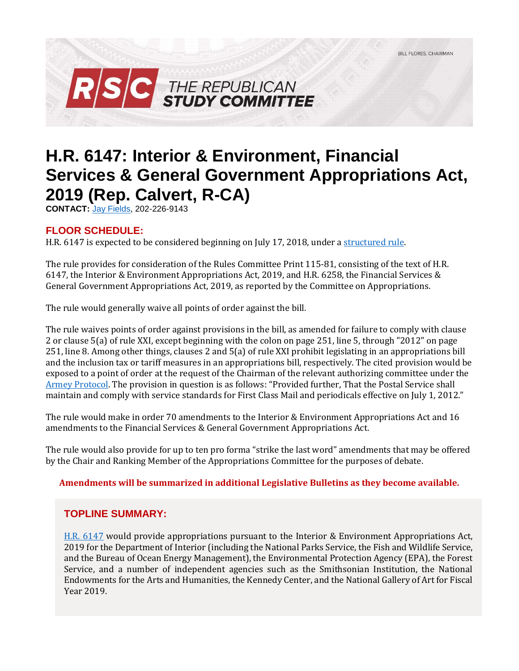

# **H.R. 6147: Interior & Environment, Financial Services & General Government Appropriations Act, 2019 (Rep. Calvert, R-CA)**

**CONTACT:** [Jay Fields,](mailto:jay.fields@mail.house.gov) 202-226-9143

# **FLOOR SCHEDULE:**

H.R. 6147 is expected to be considered beginning on July 17, 2018, under [a structured rule.](https://rules.house.gov/bill/115/hr-6147)

The rule provides for consideration of the Rules Committee Print 115-81, consisting of the text of H.R. 6147, the Interior & Environment Appropriations Act, 2019, and H.R. 6258, the Financial Services & General Government Appropriations Act, 2019, as reported by the Committee on Appropriations.

The rule would generally waive all points of order against the bill.

The rule waives points of order against provisions in the bill, as amended for failure to comply with clause 2 or clause 5(a) of rule XXI, except beginning with the colon on page 251, line 5, through "2012" on page 251, line 8. Among other things, clauses 2 and 5(a) of rule XXI prohibit legislating in an appropriations bill and the inclusion tax or tariff measures in an appropriations bill, respectively. The cited provision would be exposed to a point of order at the request of the Chairman of the relevant authorizing committee under the [Armey Protocol.](https://rules.house.gov/sites/republicans.rules.house.gov/files/112-BT-Approps-20111013.pdf#page=2) The provision in question is as follows: "Provided further, That the Postal Service shall maintain and comply with service standards for First Class Mail and periodicals effective on July 1, 2012."

The rule would make in order 70 amendments to the Interior & Environment Appropriations Act and 16 amendments to the Financial Services & General Government Appropriations Act.

The rule would also provide for up to ten pro forma "strike the last word" amendments that may be offered by the Chair and Ranking Member of the Appropriations Committee for the purposes of debate.

#### **Amendments will be summarized in additional Legislative Bulletins as they become available.**

# **TOPLINE SUMMARY:**

[H.R. 6147](https://docs.house.gov/billsthisweek/20180716/BILLS-115HR6147HR6258-RCP115-81.pdf) would provide appropriations pursuant to the Interior & Environment Appropriations Act, 2019 for the Department of Interior (including the National Parks Service, the Fish and Wildlife Service, and the Bureau of Ocean Energy Management), the Environmental Protection Agency (EPA), the Forest Service, and a number of independent agencies such as the Smithsonian Institution, the National Endowments for the Arts and Humanities, the Kennedy Center, and the National Gallery of Art for Fiscal Year 2019.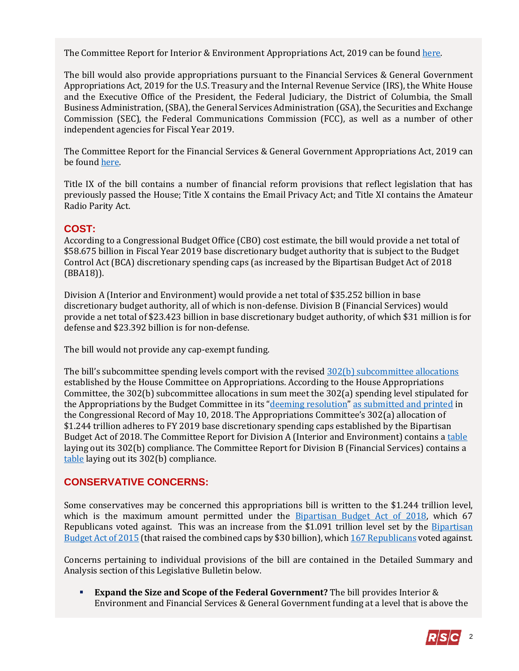The Committee Report for Interior & Environment Appropriations Act, 2019 can be foun[d here.](https://www.gpo.gov/fdsys/pkg/CRPT-115hrpt765/pdf/CRPT-115hrpt765.pdf)

The bill would also provide appropriations pursuant to the Financial Services & General Government Appropriations Act, 2019 for the U.S. Treasury and the Internal Revenue Service (IRS), the White House and the Executive Office of the President, the Federal Judiciary, the District of Columbia, the Small Business Administration, (SBA), the General Services Administration (GSA), the Securities and Exchange Commission (SEC), the Federal Communications Commission (FCC), as well as a number of other independent agencies for Fiscal Year 2019.

The Committee Report for the Financial Services & General Government Appropriations Act, 2019 can be foun[d here.](https://www.gpo.gov/fdsys/pkg/CRPT-115hrpt792/pdf/CRPT-115hrpt792.pdf)

Title IX of the bill contains a number of financial reform provisions that reflect legislation that has previously passed the House; Title X contains the Email Privacy Act; and Title XI contains the Amateur Radio Parity Act.

# **COST:**

According to a Congressional Budget Office (CBO) cost estimate, the bill would provide a net total of \$58.675 billion in Fiscal Year 2019 base discretionary budget authority that is subject to the Budget Control Act (BCA) discretionary spending caps (as increased by the Bipartisan Budget Act of 2018 (BBA18)).

Division A (Interior and Environment) would provide a net total of \$35.252 billion in base discretionary budget authority, all of which is non-defense. Division B (Financial Services) would provide a net total of \$23.423 billion in base discretionary budget authority, of which \$31 million is for defense and \$23.392 billion is for non-defense.

The bill would not provide any cap-exempt funding.

The bill's subcommittee spending levels comport with the revised  $302(b)$  subcommittee allocations established by the House Committee on Appropriations. According to the House Appropriations Committee, the 302(b) subcommittee allocations in sum meet the 302(a) spending level stipulated for the Appropriations by the Budget Committee in its "[deeming resolution](https://fas.org/sgp/crs/misc/R44296.pdf)" [as submitted and printed](https://www.congress.gov/crec/2018/05/10/CREC-2018-05-10-pt1-PgH3926.pdf) in the Congressional Record of May 10, 2018. The Appropriations Committee's 302(a) allocation of \$1.244 trillion adheres to FY 2019 base discretionary spending caps established by the Bipartisan Budget Act of 2018. The Committee Report for Division A (Interior and Environment) contains a [table](https://www.gpo.gov/fdsys/pkg/CRPT-115hrpt765/pdf/CRPT-115hrpt765.pdf#page=150) laying out its 302(b) compliance. The Committee Report for Division B (Financial Services) contains a [table](https://www.gpo.gov/fdsys/pkg/CRPT-115hrpt792/pdf/CRPT-115hrpt792.pdf#page=112) laying out its 302(b) compliance.

# **CONSERVATIVE CONCERNS:**

Some conservatives may be concerned this appropriations bill is written to the \$1.244 trillion level, which is the maximum amount permitted under the [Bipartisan Budget Act of 2018,](https://gallery.mailchimp.com/d4254037a343b683d142111e0/files/8850315d-6ca1-4d11-b934-0fc3f0133042/LB_Bipartisan_Budget_Act_of_2018_02072018_FINAL.01.pdf) which 67 Republicans voted against. This was an increase from the \$1.091 trillion level set by the Bipartisan [Budget Act of 2015](https://rsc-walker.house.gov/sites/republicanstudycommittee.house.gov/files/2015LB/RSC%20Legislative%20Bulletin%20--%20HR%201314%20Bipartisan%20Budget%20Act%20of%202015%20-%20Updated%20with%20Amendment%20--%20October%2028%202015.pdf) (that raised the combined caps by \$30 billion), whic[h 167 Republicans](http://clerk.house.gov/evs/2015/roll579.xml) voted against.

Concerns pertaining to individual provisions of the bill are contained in the Detailed Summary and Analysis section of this Legislative Bulletin below.

 **Expand the Size and Scope of the Federal Government?** The bill provides Interior & Environment and Financial Services & General Government funding at a level that is above the

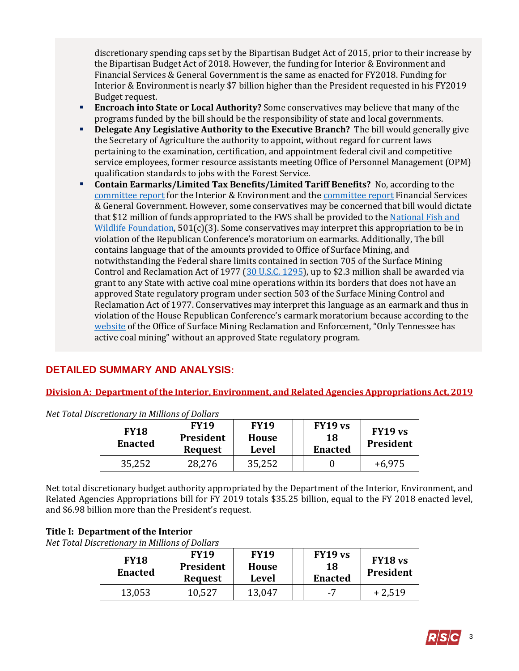discretionary spending caps set by the Bipartisan Budget Act of 2015, prior to their increase by the Bipartisan Budget Act of 2018. However, the funding for Interior & Environment and Financial Services & General Government is the same as enacted for FY2018. Funding for Interior & Environment is nearly \$7 billion higher than the President requested in his FY2019 Budget request.

- **Encroach into State or Local Authority?** Some conservatives may believe that many of the programs funded by the bill should be the responsibility of state and local governments.
- **Delegate Any Legislative Authority to the Executive Branch?** The bill would generally give the Secretary of Agriculture the authority to appoint, without regard for current laws pertaining to the examination, certification, and appointment federal civil and competitive service employees, former resource assistants meeting Office of Personnel Management (OPM) qualification standards to jobs with the Forest Service.
- **Contain Earmarks/Limited Tax Benefits/Limited Tariff Benefits?** No, according to the [committee report](https://www.gpo.gov/fdsys/pkg/CRPT-115hrpt765/pdf/CRPT-115hrpt765.pdf) for the Interior & Environment and th[e committee report](https://www.gpo.gov/fdsys/pkg/CRPT-115hrpt792/pdf/CRPT-115hrpt792.pdf) Financial Services & General Government. However, some conservatives may be concerned that bill would dictate that \$12 million of funds appropriated to the FWS shall be provided to the National Fish and [Wildlife Foundation,](http://www.nfwf.org/Pages/default.aspx) 501(c)(3). Some conservatives may interpret this appropriation to be in violation of the Republican Conference's moratorium on earmarks. Additionally, The bill contains language that of the amounts provided to Office of Surface Mining, and notwithstanding the Federal share limits contained in section 705 of the Surface Mining Control and Reclamation Act of 1977 [\(30 U.S.C. 1295\)](http://uscode.house.gov/view.xhtml?req=(title:30%20section:1295%20edition:prelim)%20OR%20(granuleid:USC-prelim-title30-section1295)&f=treesort&edition=prelim&num=0&jumpTo=true), up to \$2.3 million shall be awarded via grant to any State with active coal mine operations within its borders that does not have an approved State regulatory program under section 503 of the Surface Mining Control and Reclamation Act of 1977. Conservatives may interpret this language as an earmark and thus in violation of the House Republican Conference's earmark moratorium because according to the [website](https://www.osmre.gov/programs/rcm.shtm) of the Office of Surface Mining Reclamation and Enforcement, "Only Tennessee has active coal mining" without an approved State regulatory program.

# **DETAILED SUMMARY AND ANALYSIS:**

**Division A: Department of the Interior, Environment, and Related Agencies Appropriations Act, 2019**

| <b>FY18</b><br><b>Enacted</b> | <b>FY19</b><br><b>President</b><br><b>Request</b> | <b>FY19</b><br><b>House</b><br>Level | FY19 vs<br>18<br><b>Enacted</b> | FY19 vs<br><b>President</b> |
|-------------------------------|---------------------------------------------------|--------------------------------------|---------------------------------|-----------------------------|
|                               | 28,276                                            | 35,252                               |                                 | $+6,975$                    |

*Net Total Discretionary in Millions of Dollars*

Net total discretionary budget authority appropriated by the Department of the Interior, Environment, and Related Agencies Appropriations bill for FY 2019 totals \$35.25 billion, equal to the FY 2018 enacted level, and \$6.98 billion more than the President's request.

#### **Title I: Department of the Interior**

*Net Total Discretionary in Millions of Dollars*

| <b>FY18</b><br><b>Enacted</b> | <b>FY19</b><br><b>President</b><br><b>Request</b> | <b>FY19</b><br><b>House</b><br>Level | FY19 vs<br>18<br><b>Enacted</b> | FY18 vs<br><b>President</b> |
|-------------------------------|---------------------------------------------------|--------------------------------------|---------------------------------|-----------------------------|
| 13,053                        | 10,527                                            | 13,047                               | -7                              | $+2,519$                    |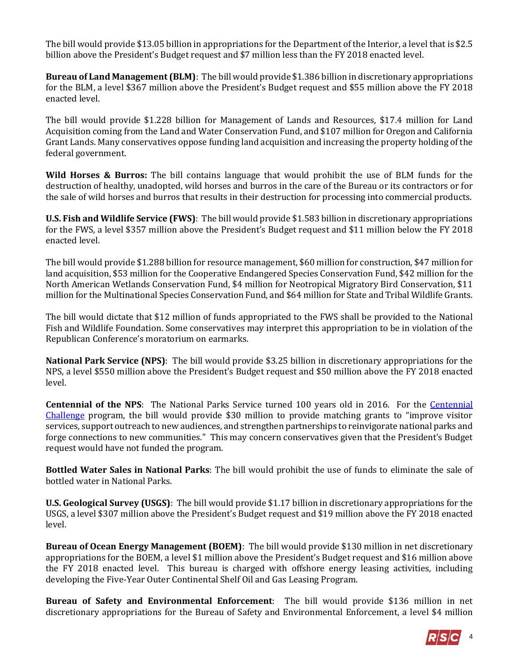The bill would provide \$13.05 billion in appropriations for the Department of the Interior, a level that is \$2.5 billion above the President's Budget request and \$7 million less than the FY 2018 enacted level.

**Bureau of Land Management (BLM)**: The bill would provide \$1.386 billion in discretionary appropriations for the BLM, a level \$367 million above the President's Budget request and \$55 million above the FY 2018 enacted level.

The bill would provide \$1.228 billion for Management of Lands and Resources, \$17.4 million for Land Acquisition coming from the Land and Water Conservation Fund, and \$107 million for Oregon and California Grant Lands. Many conservatives oppose funding land acquisition and increasing the property holding of the federal government.

**Wild Horses & Burros:** The bill contains language that would prohibit the use of BLM funds for the destruction of healthy, unadopted, wild horses and burros in the care of the Bureau or its contractors or for the sale of wild horses and burros that results in their destruction for processing into commercial products.

**U.S. Fish and Wildlife Service (FWS)**: The bill would provide \$1.583 billion in discretionary appropriations for the FWS, a level \$357 million above the President's Budget request and \$11 million below the FY 2018 enacted level.

The bill would provide \$1.288 billion for resource management, \$60 million for construction, \$47 million for land acquisition, \$53 million for the Cooperative Endangered Species Conservation Fund, \$42 million for the North American Wetlands Conservation Fund, \$4 million for Neotropical Migratory Bird Conservation, \$11 million for the Multinational Species Conservation Fund, and \$64 million for State and Tribal Wildlife Grants.

The bill would dictate that \$12 million of funds appropriated to the FWS shall be provided to the National Fish and Wildlife Foundation. Some conservatives may interpret this appropriation to be in violation of the Republican Conference's moratorium on earmarks.

**National Park Service (NPS)**: The bill would provide \$3.25 billion in discretionary appropriations for the NPS, a level \$550 million above the President's Budget request and \$50 million above the FY 2018 enacted level.

**Centennial of the NPS:** The National Parks Service turned 100 years old in 2016. For the *Centennial* [Challenge](http://www.nps.gov/subjects/centennial/nps-centennial-challenge-projects.htm) program, the bill would provide \$30 million to provide matching grants to "improve visitor services, support outreach to new audiences, and strengthen partnerships to reinvigorate national parks and forge connections to new communities." This may concern conservatives given that the President's Budget request would have not funded the program.

**Bottled Water Sales in National Parks**: The bill would prohibit the use of funds to eliminate the sale of bottled water in National Parks.

**U.S. Geological Survey (USGS)**: The bill would provide \$1.17 billion in discretionary appropriations for the USGS, a level \$307 million above the President's Budget request and \$19 million above the FY 2018 enacted level.

**Bureau of Ocean Energy Management (BOEM)**: The bill would provide \$130 million in net discretionary appropriations for the BOEM, a level \$1 million above the President's Budget request and \$16 million above the FY 2018 enacted level. This bureau is charged with offshore energy leasing activities, including developing the Five-Year Outer Continental Shelf Oil and Gas Leasing Program.

**Bureau of Safety and Environmental Enforcement**: The bill would provide \$136 million in net discretionary appropriations for the Bureau of Safety and Environmental Enforcement, a level \$4 million

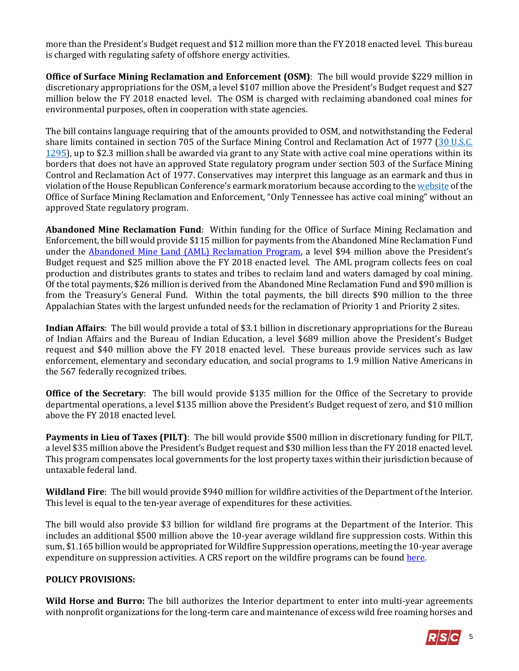more than the President's Budget request and \$12 million more than the FY 2018 enacted level. This bureau is charged with regulating safety of offshore energy activities.

**Office of Surface Mining Reclamation and Enforcement (OSM)**: The bill would provide \$229 million in discretionary appropriations for the OSM, a level \$107 million above the President's Budget request and \$27 million below the FY 2018 enacted level. The OSM is charged with reclaiming abandoned coal mines for environmental purposes, often in cooperation with state agencies.

The bill contains language requiring that of the amounts provided to OSM, and notwithstanding the Federal share limits contained in section 705 of the Surface Mining Control and Reclamation Act of 1977 [\(30 U.S.C.](http://uscode.house.gov/view.xhtml?req=(title:30%20section:1295%20edition:prelim)%20OR%20(granuleid:USC-prelim-title30-section1295)&f=treesort&edition=prelim&num=0&jumpTo=true)  [1295\)](http://uscode.house.gov/view.xhtml?req=(title:30%20section:1295%20edition:prelim)%20OR%20(granuleid:USC-prelim-title30-section1295)&f=treesort&edition=prelim&num=0&jumpTo=true), up to \$2.3 million shall be awarded via grant to any State with active coal mine operations within its borders that does not have an approved State regulatory program under section 503 of the Surface Mining Control and Reclamation Act of 1977. Conservatives may interpret this language as an earmark and thus in violation of the House Republican Conference's earmark moratorium because according to the [website](https://www.osmre.gov/programs/rcm.shtm) of the Office of Surface Mining Reclamation and Enforcement, "Only Tennessee has active coal mining" without an approved State regulatory program.

**Abandoned Mine Reclamation Fund**: Within funding for the Office of Surface Mining Reclamation and Enforcement, the bill would provide \$115 million for payments from the Abandoned Mine Reclamation Fund under the **Abandoned Mine Land (AML) Reclamation Program**, a level \$94 million above the President's Budget request and \$25 million above the FY 2018 enacted level. The AML program collects fees on coal production and distributes grants to states and tribes to reclaim land and waters damaged by coal mining. Of the total payments, \$26 million is derived from the Abandoned Mine Reclamation Fund and \$90 million is from the Treasury's General Fund. Within the total payments, the bill directs \$90 million to the three Appalachian States with the largest unfunded needs for the reclamation of Priority 1 and Priority 2 sites.

**Indian Affairs**: The bill would provide a total of \$3.1 billion in discretionary appropriations for the Bureau of Indian Affairs and the Bureau of Indian Education, a level \$689 million above the President's Budget request and \$40 million above the FY 2018 enacted level. These bureaus provide services such as law enforcement, elementary and secondary education, and social programs to 1.9 million Native Americans in the 567 federally recognized tribes.

**Office of the Secretary**: The bill would provide \$135 million for the Office of the Secretary to provide departmental operations, a level \$135 million above the President's Budget request of zero, and \$10 million above the FY 2018 enacted level.

**Payments in Lieu of Taxes (PILT)**: The bill would provide \$500 million in discretionary funding for PILT, a level \$35 million above the President's Budget request and \$30 million less than the FY 2018 enacted level. This program compensates local governments for the lost property taxes within their jurisdiction because of untaxable federal land.

**Wildland Fire**: The bill would provide \$940 million for wildfire activities of the Department of the Interior. This level is equal to the ten-year average of expenditures for these activities.

The bill would also provide \$3 billion for wildland fire programs at the Department of the Interior. This includes an additional \$500 million above the 10-year average wildland fire suppression costs. Within this sum, \$1.165 billion would be appropriated for Wildfire Suppression operations, meeting the 10-year average expenditure on suppression activities. A CRS report on the wildfire programs can be found [here.](https://fas.org/sgp/crs/misc/R45005.pdf)

# **POLICY PROVISIONS:**

**Wild Horse and Burro:** The bill authorizes the Interior department to enter into multi-year agreements with nonprofit organizations for the long-term care and maintenance of excess wild free roaming horses and

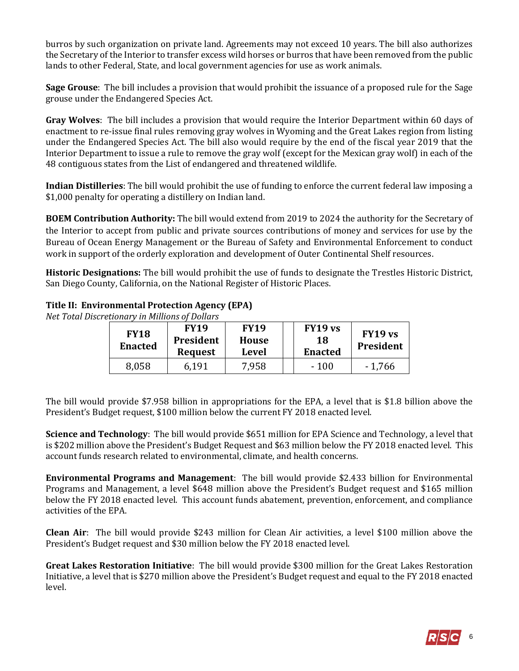burros by such organization on private land. Agreements may not exceed 10 years. The bill also authorizes the Secretary of the Interior to transfer excess wild horses or burros that have been removed from the public lands to other Federal, State, and local government agencies for use as work animals.

**Sage Grouse**: The bill includes a provision that would prohibit the issuance of a proposed rule for the Sage grouse under the Endangered Species Act.

**Gray Wolves**: The bill includes a provision that would require the Interior Department within 60 days of enactment to re-issue final rules removing gray wolves in Wyoming and the Great Lakes region from listing under the Endangered Species Act. The bill also would require by the end of the fiscal year 2019 that the Interior Department to issue a rule to remove the gray wolf (except for the Mexican gray wolf) in each of the 48 contiguous states from the List of endangered and threatened wildlife.

**Indian Distilleries**: The bill would prohibit the use of funding to enforce the current federal law imposing a \$1,000 penalty for operating a distillery on Indian land.

**BOEM Contribution Authority:** The bill would extend from 2019 to 2024 the authority for the Secretary of the Interior to accept from public and private sources contributions of money and services for use by the Bureau of Ocean Energy Management or the Bureau of Safety and Environmental Enforcement to conduct work in support of the orderly exploration and development of Outer Continental Shelf resources.

**Historic Designations:** The bill would prohibit the use of funds to designate the Trestles Historic District, San Diego County, California, on the National Register of Historic Places.

#### **Title II: Environmental Protection Agency (EPA)**

*Net Total Discretionary in Millions of Dollars*

| <b>FY18</b><br><b>Enacted</b> | <b>FY19</b><br><b>President</b><br>Request | <b>FY19</b><br><b>House</b><br>Level | FY19 vs<br>18<br><b>Enacted</b> | FY19 vs<br><b>President</b> |
|-------------------------------|--------------------------------------------|--------------------------------------|---------------------------------|-----------------------------|
| 8,058                         | 6,191                                      | 7,958                                | $-100$                          | $-1,766$                    |

The bill would provide \$7.958 billion in appropriations for the EPA, a level that is \$1.8 billion above the President's Budget request, \$100 million below the current FY 2018 enacted level.

**Science and Technology**: The bill would provide \$651 million for EPA Science and Technology, a level that is \$202 million above the President's Budget Request and \$63 million below the FY 2018 enacted level. This account funds research related to environmental, climate, and health concerns.

**Environmental Programs and Management**: The bill would provide \$2.433 billion for Environmental Programs and Management, a level \$648 million above the President's Budget request and \$165 million below the FY 2018 enacted level. This account funds abatement, prevention, enforcement, and compliance activities of the EPA.

**Clean Air**: The bill would provide \$243 million for Clean Air activities, a level \$100 million above the President's Budget request and \$30 million below the FY 2018 enacted level.

**Great Lakes Restoration Initiative**: The bill would provide \$300 million for the Great Lakes Restoration Initiative, a level that is \$270 million above the President's Budget request and equal to the FY 2018 enacted level.

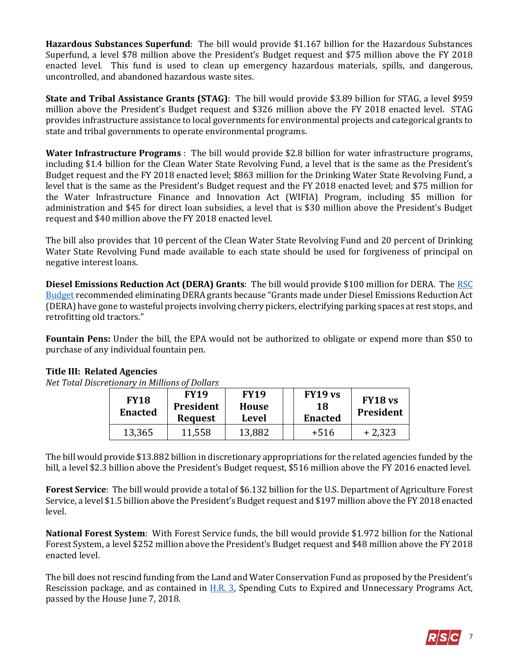**Hazardous Substances Superfund**: The bill would provide \$1.167 billion for the Hazardous Substances Superfund, a level \$78 million above the President's Budget request and \$75 million above the FY 2018 enacted level. This fund is used to clean up emergency hazardous materials, spills, and dangerous, uncontrolled, and abandoned hazardous waste sites.

**State and Tribal Assistance Grants (STAG)**: The bill would provide \$3.89 billion for STAG, a level \$959 million above the President's Budget request and \$326 million above the FY 2018 enacted level. STAG provides infrastructure assistance to local governments for environmental projects and categorical grants to state and tribal governments to operate environmental programs.

**Water Infrastructure Programs** : The bill would provide \$2.8 billion for water infrastructure programs, including \$1.4 billion for the Clean Water State Revolving Fund, a level that is the same as the President's Budget request and the FY 2018 enacted level; \$863 million for the Drinking Water State Revolving Fund, a level that is the same as the President's Budget request and the FY 2018 enacted level; and \$75 million for the Water Infrastructure Finance and Innovation Act (WIFIA) Program, including \$5 million for administration and \$45 for direct loan subsidies, a level that is \$30 million above the President's Budget request and \$40 million above the FY 2018 enacted level.

The bill also provides that 10 percent of the Clean Water State Revolving Fund and 20 percent of Drinking Water State Revolving Fund made available to each state should be used for forgiveness of principal on negative interest loans.

**Diesel Emissions Reduction Act (DERA) Grants**: The bill would provide \$100 million for DERA. The [RSC](https://rsc-walker.house.gov/sites/republicanstudycommittee.house.gov/files/wysiwyg_uploaded/RSC%20Budget%20FY2019%20-%20Narrative%20-%20FINAL.PDF#PAGE=132)  [Budget](https://rsc-walker.house.gov/sites/republicanstudycommittee.house.gov/files/wysiwyg_uploaded/RSC%20Budget%20FY2019%20-%20Narrative%20-%20FINAL.PDF#PAGE=132) recommended eliminating DERA grants because "Grants made under Diesel Emissions Reduction Act (DERA) have gone to wasteful projects involving cherry pickers, electrifying parking spaces at rest stops, and retrofitting old tractors."

**Fountain Pens:** Under the bill, the EPA would not be authorized to obligate or expend more than \$50 to purchase of any individual fountain pen.

# **Title III: Related Agencies**

*Net Total Discretionary in Millions of Dollars*

| <b>FY18</b><br><b>Enacted</b> | <b>FY19</b><br><b>President</b><br><b>Request</b> | <b>FY19</b><br>House<br>Level | FY19 vs<br>18<br><b>Enacted</b> | FY18 <sub>vs</sub><br>President |
|-------------------------------|---------------------------------------------------|-------------------------------|---------------------------------|---------------------------------|
| 13,365                        | 11,558                                            | 13,882                        | $+516$                          | $+2,323$                        |

The bill would provide \$13.882 billion in discretionary appropriations for the related agencies funded by the bill, a level \$2.3 billion above the President's Budget request, \$516 million above the FY 2016 enacted level.

**Forest Service**: The bill would provide a total of \$6.132 billion for the U.S. Department of Agriculture Forest Service, a level \$1.5 billion above the President's Budget request and \$197 million above the FY 2018 enacted level.

**National Forest System**: With Forest Service funds, the bill would provide \$1.972 billion for the National Forest System, a level \$252 million above the President's Budget request and \$48 million above the FY 2018 enacted level.

The bill does not rescind funding from the Land and Water Conservation Fund as proposed by the President's Rescission package, and as contained in [H.R. 3,](file:///C:/Users/jfields2/Desktop/Appropriations%20FY19/Minibus_Interior-FS/H.R.%203) Spending Cuts to Expired and Unnecessary Programs Act, passed by the House June 7, 2018.

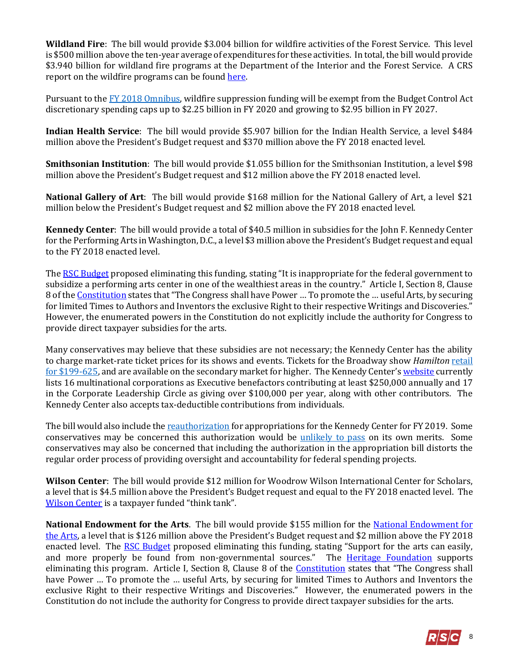**Wildland Fire**: The bill would provide \$3.004 billion for wildfire activities of the Forest Service. This level is \$500 million above the ten-year average of expenditures for these activities. In total, the bill would provide \$3.940 billion for wildland fire programs at the Department of the Interior and the Forest Service. A CRS report on the wildfire programs can be foun[d here.](http://www.crs.gov/pages/Reports.aspx?PRODCODE=R43077&Source=search)

Pursuant to the [FY 2018 Omnibus,](https://gallery.mailchimp.com/d4254037a343b683d142111e0/files/908b7457-a446-4f3c-9d54-bfd950708ae8/RSC_Legislative_Bulletin_FY_2018_Omnibus_March_22_2018.pdf) wildfire suppression funding will be exempt from the Budget Control Act discretionary spending caps up to \$2.25 billion in FY 2020 and growing to \$2.95 billion in FY 2027.

**Indian Health Service**: The bill would provide \$5.907 billion for the Indian Health Service, a level \$484 million above the President's Budget request and \$370 million above the FY 2018 enacted level.

**Smithsonian Institution**: The bill would provide \$1.055 billion for the Smithsonian Institution, a level \$98 million above the President's Budget request and \$12 million above the FY 2018 enacted level.

**National Gallery of Art**: The bill would provide \$168 million for the National Gallery of Art, a level \$21 million below the President's Budget request and \$2 million above the FY 2018 enacted level.

**Kennedy Center**: The bill would provide a total of \$40.5 million in subsidies for the John F. Kennedy Center for the Performing Arts in Washington, D.C., a level \$3 million above the President's Budget request and equal to the FY 2018 enacted level.

Th[e RSC Budget](https://rsc-walker.house.gov/sites/republicanstudycommittee.house.gov/files/wysiwyg_uploaded/RSC%20Budget%20FY2019%20-%20Narrative%20-%20FINAL.PDF#page=133) proposed eliminating this funding, stating "It is inappropriate for the federal government to subsidize a performing arts center in one of the wealthiest areas in the country." Article I, Section 8, Clause 8 of the [Constitution](http://www.heritage.org/constitution#!/articles/1/essays/46/patent-and-copyright-clause) states that "The Congress shall have Power … To promote the … useful Arts, by securing for limited Times to Authors and Inventors the exclusive Right to their respective Writings and Discoveries." However, the enumerated powers in the Constitution do not explicitly include the authority for Congress to provide direct taxpayer subsidies for the arts.

Many conservatives may believe that these subsidies are not necessary; the Kennedy Center has the ability to charge market-rate ticket prices for its shows and events. Tickets for the Broadway show *Hamilton* [retail](http://www.kennedy-center.org/calendar/event/TSTSE#tickets)  [for \\$199-625,](http://www.kennedy-center.org/calendar/event/TSTSE#tickets) and are available on the secondary market for higher. The Kennedy Center's [website](http://www.kennedy-center.org/Membership/Corporate) currently lists 16 multinational corporations as Executive benefactors contributing at least \$250,000 annually and 17 in the Corporate Leadership Circle as giving over \$100,000 per year, along with other contributors. The Kennedy Center also accepts tax-deductible contributions from individuals.

The bill would also include th[e reauthorization](https://docs.house.gov/billsthisweek/20180716/BILLS-115HR6147HR6258-RCP115-81.pdf#page=135) for appropriations for the Kennedy Center for FY 2019. Some conservatives may be concerned this authorization would be [unlikely to pass](https://www.bloomberg.com/news/articles/2015-07-20/house-leaders-drop-curtain-on-kennedy-center-bill) on its own merits. Some conservatives may also be concerned that including the authorization in the appropriation bill distorts the regular order process of providing oversight and accountability for federal spending projects.

**Wilson Center**: The bill would provide \$12 million for Woodrow Wilson International Center for Scholars, a level that is \$4.5 million above the President's Budget request and equal to the FY 2018 enacted level. The [Wilson Center](https://www.wilsoncenter.org/) is a taxpayer funded "think tank".

**National Endowment for the Arts**. The bill would provide \$155 million for the National Endowment for [the Arts,](http://arts.gov/) a level that is \$126 million above the President's Budget request and \$2 million above the FY 2018 enacted level. The [RSC Budget](https://rsc-walker.house.gov/sites/republicanstudycommittee.house.gov/files/wysiwyg_uploaded/RSC%20Budget%20FY2019%20-%20Narrative%20-%20FINAL.PDF#page=133) proposed eliminating this funding, stating "Support for the arts can easily, and more properly be found from non-governmental sources." The **[Heritage Foundation](https://www.heritage.org/blueprint-balance/budget-proposals/interior-environment-and-related-agencies)** supports eliminating this program. Article I, Section 8, Clause 8 of the *Constitution* states that "The Congress shall have Power … To promote the … useful Arts, by securing for limited Times to Authors and Inventors the exclusive Right to their respective Writings and Discoveries." However, the enumerated powers in the Constitution do not include the authority for Congress to provide direct taxpayer subsidies for the arts.

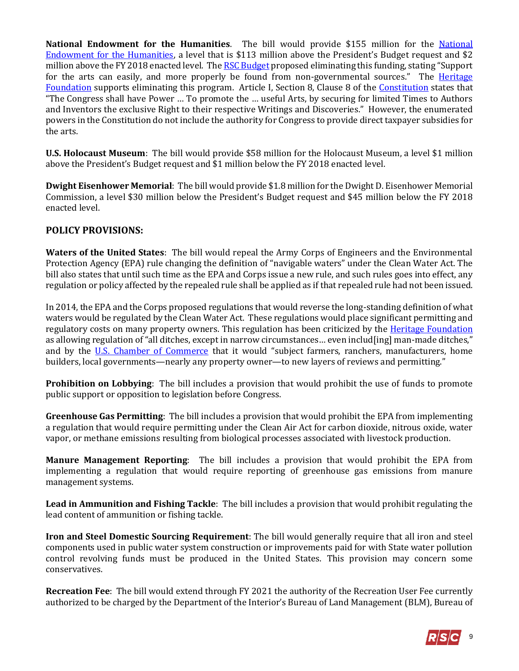**National Endowment for the Humanities**. The bill would provide \$155 million for the [National](http://www.neh.gov/)  [Endowment for the Humanities,](http://www.neh.gov/) a level that is \$113 million above the President's Budget request and \$2 million above the FY 2018 enacted level. Th[e RSC Budget](https://rsc-walker.house.gov/sites/republicanstudycommittee.house.gov/files/wysiwyg_uploaded/RSC%20Budget%20FY2019%20-%20Narrative%20-%20FINAL.PDF#page=133) proposed eliminating this funding, stating "Support for the arts can easily, and more properly be found from non-governmental sources." The Heritage [Foundation](https://www.heritage.org/blueprint-balance/budget-proposals/interior-environment-and-related-agencies) supports eliminating this program. Article I, Section 8, Clause 8 of the [Constitution](http://www.heritage.org/constitution#!/articles/1/essays/46/patent-and-copyright-clause) states that "The Congress shall have Power … To promote the … useful Arts, by securing for limited Times to Authors and Inventors the exclusive Right to their respective Writings and Discoveries." However, the enumerated powers in the Constitution do not include the authority for Congress to provide direct taxpayer subsidies for the arts.

**U.S. Holocaust Museum**: The bill would provide \$58 million for the Holocaust Museum, a level \$1 million above the President's Budget request and \$1 million below the FY 2018 enacted level.

**Dwight Eisenhower Memorial**: The bill would provide \$1.8 million for the Dwight D. Eisenhower Memorial Commission, a level \$30 million below the President's Budget request and \$45 million below the FY 2018 enacted level.

# **POLICY PROVISIONS:**

**Waters of the United States**: The bill would repeal the Army Corps of Engineers and the Environmental Protection Agency (EPA) rule changing the definition of "navigable waters" under the Clean Water Act. The bill also states that until such time as the EPA and Corps issue a new rule, and such rules goes into effect, any regulation or policy affected by the repealed rule shall be applied as if that repealed rule had not been issued.

In 2014, the EPA and the Corps proposed regulations that would reverse the long-standing definition of what waters would be regulated by the Clean Water Act. These regulations would place significant permitting and regulatory costs on many property owners. This regulation has been criticized by the [Heritage Foundation](http://dailysignal.com/2014/07/23/property-rights-stake-epas-water-power-grab/) as allowing regulation of "all ditches, except in narrow circumstances... even includ[ing] man-made ditches," and by the [U.S. Chamber of Commerce](https://www.uschamber.com/blog/lets-ditch-waters-us-rule) that it would "subject farmers, ranchers, manufacturers, home builders, local governments—nearly any property owner—to new layers of reviews and permitting."

**Prohibition on Lobbying**: The bill includes a provision that would prohibit the use of funds to promote public support or opposition to legislation before Congress.

**Greenhouse Gas Permitting**: The bill includes a provision that would prohibit the EPA from implementing a regulation that would require permitting under the Clean Air Act for carbon dioxide, nitrous oxide, water vapor, or methane emissions resulting from biological processes associated with livestock production.

**Manure Management Reporting**: The bill includes a provision that would prohibit the EPA from implementing a regulation that would require reporting of greenhouse gas emissions from manure management systems.

**Lead in Ammunition and Fishing Tackle**: The bill includes a provision that would prohibit regulating the lead content of ammunition or fishing tackle.

**Iron and Steel Domestic Sourcing Requirement**: The bill would generally require that all iron and steel components used in public water system construction or improvements paid for with State water pollution control revolving funds must be produced in the United States. This provision may concern some conservatives.

**Recreation Fee**: The bill would extend through FY 2021 the authority of the Recreation User Fee currently authorized to be charged by the Department of the Interior's Bureau of Land Management (BLM), Bureau of

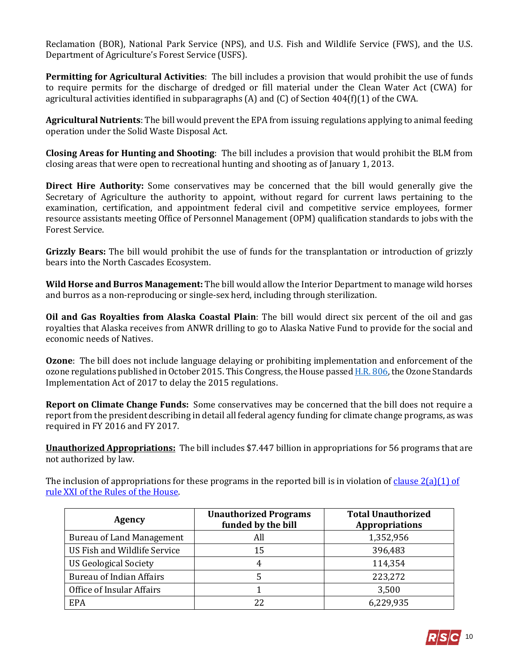Reclamation (BOR), National Park Service (NPS), and U.S. Fish and Wildlife Service (FWS), and the U.S. Department of Agriculture's Forest Service (USFS).

**Permitting for Agricultural Activities**: The bill includes a provision that would prohibit the use of funds to require permits for the discharge of dredged or fill material under the Clean Water Act (CWA) for agricultural activities identified in subparagraphs (A) and (C) of Section 404(f)(1) of the CWA.

**Agricultural Nutrients**: The bill would prevent the EPA from issuing regulations applying to animal feeding operation under the Solid Waste Disposal Act.

**Closing Areas for Hunting and Shooting**: The bill includes a provision that would prohibit the BLM from closing areas that were open to recreational hunting and shooting as of January 1, 2013.

**Direct Hire Authority:** Some conservatives may be concerned that the bill would generally give the Secretary of Agriculture the authority to appoint, without regard for current laws pertaining to the examination, certification, and appointment federal civil and competitive service employees, former resource assistants meeting Office of Personnel Management (OPM) qualification standards to jobs with the Forest Service.

**Grizzly Bears:** The bill would prohibit the use of funds for the transplantation or introduction of grizzly bears into the North Cascades Ecosystem.

**Wild Horse and Burros Management:** The bill would allow the Interior Department to manage wild horses and burros as a non-reproducing or single-sex herd, including through sterilization.

**Oil and Gas Royalties from Alaska Coastal Plain**: The bill would direct six percent of the oil and gas royalties that Alaska receives from ANWR drilling to go to Alaska Native Fund to provide for the social and economic needs of Natives.

**Ozone**: The bill does not include language delaying or prohibiting implementation and enforcement of the ozone regulations published in October 2015. This Congress, the House passed [H.R. 806,](https://rsc-walker.house.gov/sites/republicanstudycommittee.house.gov/files/2017LB/Legislative_Bulletin_HR806.pdf) the Ozone Standards Implementation Act of 2017 to delay the 2015 regulations.

**Report on Climate Change Funds:** Some conservatives may be concerned that the bill does not require a report from the president describing in detail all federal agency funding for climate change programs, as was required in FY 2016 and FY 2017.

**Unauthorized Appropriations:** The bill includes \$7.447 billion in appropriations for 56 programs that are not authorized by law.

The inclusion of appropriations for these programs in the reported bill is in violation of clause  $2(a)(1)$  of [rule XXI of the Rules of the House.](https://rules.house.gov/sites/republicans.rules.house.gov/files/114/PDF/House-Rules-114.pdf#page=38) 

| <b>Agency</b>                    | <b>Unauthorized Programs</b><br>funded by the bill | <b>Total Unauthorized</b><br><b>Appropriations</b> |
|----------------------------------|----------------------------------------------------|----------------------------------------------------|
| <b>Bureau of Land Management</b> | All                                                | 1,352,956                                          |
| US Fish and Wildlife Service     | 15                                                 | 396,483                                            |
| <b>US Geological Society</b>     | 4                                                  | 114,354                                            |
| <b>Bureau of Indian Affairs</b>  |                                                    | 223,272                                            |
| Office of Insular Affairs        |                                                    | 3,500                                              |
| EPA                              | 22                                                 | 6,229,935                                          |

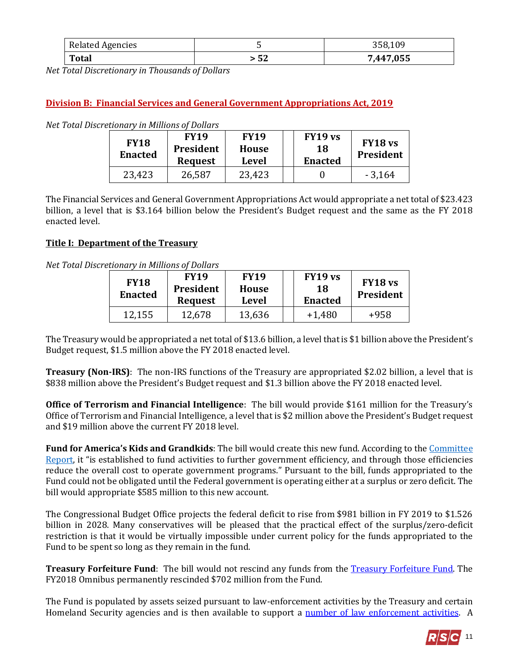| <b>Related Agencies</b> |    | 358,109   |
|-------------------------|----|-----------|
| <b>Total</b>            | 52 | 7,447,055 |

*Net Total Discretionary in Thousands of Dollars*

# **Division B: Financial Services and General Government Appropriations Act, 2019**

| <b>FY18</b><br><b>Enacted</b> | <b>FY19</b><br>President<br><b>Request</b> | <b>FY19</b><br>House<br><b>Level</b> | <b>FY19 vs</b><br>18<br><b>Enacted</b> | FY18 <sub>vs</sub><br>President |
|-------------------------------|--------------------------------------------|--------------------------------------|----------------------------------------|---------------------------------|
| 23,423                        | 26,587                                     | 23,423                               |                                        | $-3,164$                        |

*Net Total Discretionary in Millions of Dollars*

The Financial Services and General Government Appropriations Act would appropriate a net total of \$23.423 billion, a level that is \$3.164 billion below the President's Budget request and the same as the FY 2018 enacted level.

#### **Title I: Department of the Treasury**

*Net Total Discretionary in Millions of Dollars*

| <b>FY18</b><br><b>Enacted</b> | <b>FY19</b><br>President<br><b>Request</b> | <b>FY19</b><br><b>House</b><br>Level | FY19 vs<br>18<br><b>Enacted</b> | FY18 <sub>vs</sub><br>President |
|-------------------------------|--------------------------------------------|--------------------------------------|---------------------------------|---------------------------------|
| 12,155                        | 12,678                                     | 13,636                               | $+1,480$                        | +958                            |

The Treasury would be appropriated a net total of \$13.6 billion, a level that is \$1 billion above the President's Budget request, \$1.5 million above the FY 2018 enacted level.

**Treasury (Non-IRS)**: The non-IRS functions of the Treasury are appropriated \$2.02 billion, a level that is \$838 million above the President's Budget request and \$1.3 billion above the FY 2018 enacted level.

**Office of Terrorism and Financial Intelligence**: The bill would provide \$161 million for the Treasury's Office of Terrorism and Financial Intelligence, a level that is \$2 million above the President's Budget request and \$19 million above the current FY 2018 level.

**Fund for America's Kids and Grandkids**: The bill would create this new fund. According to th[e Committee](https://www.congress.gov/115/crpt/hrpt792/CRPT-115hrpt792.pdf#page=12)  [Report,](https://www.congress.gov/115/crpt/hrpt792/CRPT-115hrpt792.pdf#page=12) it "is established to fund activities to further government efficiency, and through those efficiencies reduce the overall cost to operate government programs." Pursuant to the bill, funds appropriated to the Fund could not be obligated until the Federal government is operating either at a surplus or zero deficit. The bill would appropriate \$585 million to this new account.

The Congressional Budget Office projects the federal deficit to rise from \$981 billion in FY 2019 to \$1.526 billion in 2028. Many conservatives will be pleased that the practical effect of the surplus/zero-deficit restriction is that it would be virtually impossible under current policy for the funds appropriated to the Fund to be spent so long as they remain in the fund.

**Treasury Forfeiture Fund**: The bill would not rescind any funds from the **Treasury Forfeiture Fund**. The FY2018 Omnibus permanently rescinded \$702 million from the Fund.

The Fund is populated by assets seized pursuant to law-enforcement activities by the Treasury and certain Homeland Security agencies and is then available to support a [number of law enforcement activities.](http://www.crs.gov/Reports/97-139#_Toc409784631) A

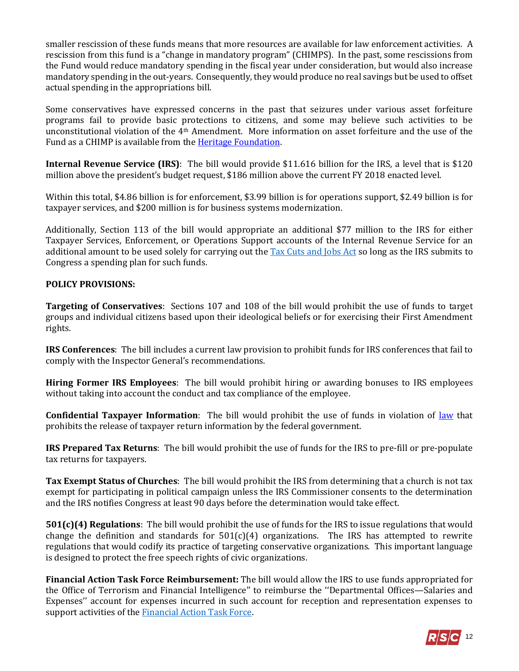smaller rescission of these funds means that more resources are available for law enforcement activities. A rescission from this fund is a "change in mandatory program" (CHIMPS). In the past, some rescissions from the Fund would reduce mandatory spending in the fiscal year under consideration, but would also increase mandatory spending in the out-years. Consequently, they would produce no real savings but be used to offset actual spending in the appropriations bill.

Some conservatives have expressed concerns in the past that seizures under various asset forfeiture programs fail to provide basic protections to citizens, and some may believe such activities to be unconstitutional violation of the 4th Amendment. More information on asset forfeiture and the use of the Fund as a CHIMP is available from th[e Heritage Foundation.](http://www.heritage.org/research/reports/2015/11/instead-of-raiding-the-assets-forfeiture-fund-congress-should-simply-discontinue-it) 

**Internal Revenue Service (IRS)**: The bill would provide \$11.616 billion for the IRS, a level that is \$120 million above the president's budget request, \$186 million above the current FY 2018 enacted level.

Within this total, \$4.86 billion is for enforcement, \$3.99 billion is for operations support, \$2.49 billion is for taxpayer services, and \$200 million is for business systems modernization.

Additionally, Section 113 of the bill would appropriate an additional \$77 million to the IRS for either Taxpayer Services, Enforcement, or Operations Support accounts of the Internal Revenue Service for an additional amount to be used solely for carrying out the [Tax Cuts and Jobs Act](https://gallery.mailchimp.com/d4254037a343b683d142111e0/files/bf5b8df0-1ed1-4627-8b56-aa72430ba3b5/LB_Senate_Tax_Bill_FINAL_Amended_FINAL.pdf) so long as the IRS submits to Congress a spending plan for such funds.

#### **POLICY PROVISIONS:**

**Targeting of Conservatives**: Sections 107 and 108 of the bill would prohibit the use of funds to target groups and individual citizens based upon their ideological beliefs or for exercising their First Amendment rights.

**IRS Conferences**: The bill includes a current law provision to prohibit funds for IRS conferences that fail to comply with the Inspector General's recommendations.

**Hiring Former IRS Employees**: The bill would prohibit hiring or awarding bonuses to IRS employees without taking into account the conduct and tax compliance of the employee.

**Confidential Taxpayer Information**: The bill would prohibit the use of funds in violation of [law](http://uscode.house.gov/view.xhtml?req=(title:26%20section:6103%20edition:prelim)%20OR%20(granuleid:USC-prelim-title26-section6103)&f=treesort&edition=prelim&num=0&jumpTo=true) that prohibits the release of taxpayer return information by the federal government.

**IRS Prepared Tax Returns**: The bill would prohibit the use of funds for the IRS to pre-fill or pre-populate tax returns for taxpayers.

**Tax Exempt Status of Churches**: The bill would prohibit the IRS from determining that a church is not tax exempt for participating in political campaign unless the IRS Commissioner consents to the determination and the IRS notifies Congress at least 90 days before the determination would take effect.

**501(c)(4) Regulations**: The bill would prohibit the use of funds for the IRS to issue regulations that would change the definition and standards for  $501(c)(4)$  organizations. The IRS has attempted to rewrite regulations that would codify its practice of targeting conservative organizations. This important language is designed to protect the free speech rights of civic organizations.

**Financial Action Task Force Reimbursement:** The bill would allow the IRS to use funds appropriated for the Office of Terrorism and Financial Intelligence'' to reimburse the ''Departmental Offices—Salaries and Expenses'' account for expenses incurred in such account for reception and representation expenses to support activities of th[e Financial Action Task Force.](https://www.treasury.gov/resource-center/terrorist-illicit-finance/Pages/Financial-Action-Task-Force.aspx)

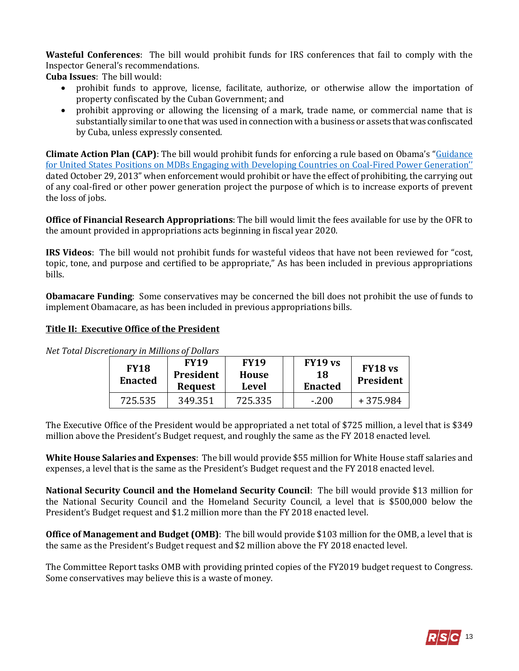**Wasteful Conferences**: The bill would prohibit funds for IRS conferences that fail to comply with the Inspector General's recommendations.

**Cuba Issues**: The bill would:

- prohibit funds to approve, license, facilitate, authorize, or otherwise allow the importation of property confiscated by the Cuban Government; and
- prohibit approving or allowing the licensing of a mark, trade name, or commercial name that is substantially similar to one that was used in connection with a business or assets that was confiscated by Cuba, unless expressly consented.

**Climate Action Plan (CAP)**: The bill would prohibit funds for enforcing a rule based on Obama's "[Guidance](https://www.treasury.gov/press-center/press-releases/Pages/jl2195.aspx)  for United States [Positions on MDBs Engaging with Developing Countries on Coal-](https://www.treasury.gov/press-center/press-releases/Pages/jl2195.aspx)Fired Power Generation'' dated October 29, 2013" when enforcement would prohibit or have the effect of prohibiting, the carrying out of any coal-fired or other power generation project the purpose of which is to increase exports of prevent the loss of jobs.

**Office of Financial Research Appropriations**: The bill would limit the fees available for use by the OFR to the amount provided in appropriations acts beginning in fiscal year 2020.

**IRS Videos**: The bill would not prohibit funds for wasteful videos that have not been reviewed for "cost, topic, tone, and purpose and certified to be appropriate," As has been included in previous appropriations bills.

**Obamacare Funding**: Some conservatives may be concerned the bill does not prohibit the use of funds to implement Obamacare, as has been included in previous appropriations bills.

#### **Title II: Executive Office of the President**

| <b>FY18</b><br><b>Enacted</b> | <b>FY19</b><br>President<br><b>Request</b> | <b>FY19</b><br><b>House</b><br><b>Level</b> | FY19 vs<br>18<br><b>Enacted</b> | FY18 <sub>vs</sub><br><b>President</b> |
|-------------------------------|--------------------------------------------|---------------------------------------------|---------------------------------|----------------------------------------|
| 725.535                       | 349.351                                    | 725.335                                     | $-.200$                         | +375.984                               |

*Net Total Discretionary in Millions of Dollars*

The Executive Office of the President would be appropriated a net total of \$725 million, a level that is \$349 million above the President's Budget request, and roughly the same as the FY 2018 enacted level.

**White House Salaries and Expenses**: The bill would provide \$55 million for White House staff salaries and expenses, a level that is the same as the President's Budget request and the FY 2018 enacted level.

**National Security Council and the Homeland Security Council**: The bill would provide \$13 million for the National Security Council and the Homeland Security Council, a level that is \$500,000 below the President's Budget request and \$1.2 million more than the FY 2018 enacted level.

**Office of Management and Budget (OMB)**: The bill would provide \$103 million for the OMB, a level that is the same as the President's Budget request and \$2 million above the FY 2018 enacted level.

The Committee Report tasks OMB with providing printed copies of the FY2019 budget request to Congress. Some conservatives may believe this is a waste of money.

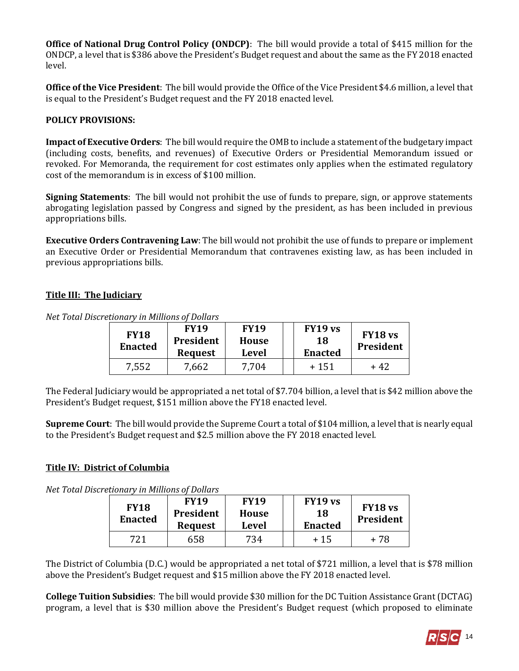**Office of National Drug Control Policy (ONDCP)**: The bill would provide a total of \$415 million for the ONDCP, a level that is \$386 above the President's Budget request and about the same as the FY 2018 enacted level.

**Office of the Vice President**: The bill would provide the Office of the Vice President \$4.6 million, a level that is equal to the President's Budget request and the FY 2018 enacted level.

# **POLICY PROVISIONS:**

**Impact of Executive Orders**: The bill would require the OMB to include a statement of the budgetary impact (including costs, benefits, and revenues) of Executive Orders or Presidential Memorandum issued or revoked. For Memoranda, the requirement for cost estimates only applies when the estimated regulatory cost of the memorandum is in excess of \$100 million.

**Signing Statements**: The bill would not prohibit the use of funds to prepare, sign, or approve statements abrogating legislation passed by Congress and signed by the president, as has been included in previous appropriations bills.

**Executive Orders Contravening Law**: The bill would not prohibit the use of funds to prepare or implement an Executive Order or Presidential Memorandum that contravenes existing law, as has been included in previous appropriations bills.

# **Title III: The Judiciary**

*Net Total Discretionary in Millions of Dollars*

| <b>FY18</b><br><b>Enacted</b> | <b>FY19</b><br><b>President</b><br><b>Request</b> | <b>FY19</b><br><b>House</b><br>Level | FY19 vs<br>18<br><b>Enacted</b> | FY18 <sub>vs</sub><br>President |
|-------------------------------|---------------------------------------------------|--------------------------------------|---------------------------------|---------------------------------|
| 7,552                         | 7,662                                             | 7,704                                | $+151$                          | + 42                            |

The Federal Judiciary would be appropriated a net total of \$7.704 billion, a level that is \$42 million above the President's Budget request, \$151 million above the FY18 enacted level.

**Supreme Court**: The bill would provide the Supreme Court a total of \$104 million, a level that is nearly equal to the President's Budget request and \$2.5 million above the FY 2018 enacted level.

# **Title IV: District of Columbia**

*Net Total Discretionary in Millions of Dollars*

| <b>FY18</b><br><b>Enacted</b> | <b>FY19</b><br><b>President</b><br><b>Request</b> | <b>FY19</b><br>House<br>Level | FY19 vs<br>18<br><b>Enacted</b> | FY18 <sub>vs</sub><br>President |
|-------------------------------|---------------------------------------------------|-------------------------------|---------------------------------|---------------------------------|
|                               |                                                   |                               |                                 |                                 |

The District of Columbia (D.C.) would be appropriated a net total of \$721 million, a level that is \$78 million above the President's Budget request and \$15 million above the FY 2018 enacted level.

**College Tuition Subsidies**: The bill would provide \$30 million for the DC Tuition Assistance Grant (DCTAG) program, a level that is \$30 million above the President's Budget request (which proposed to eliminate

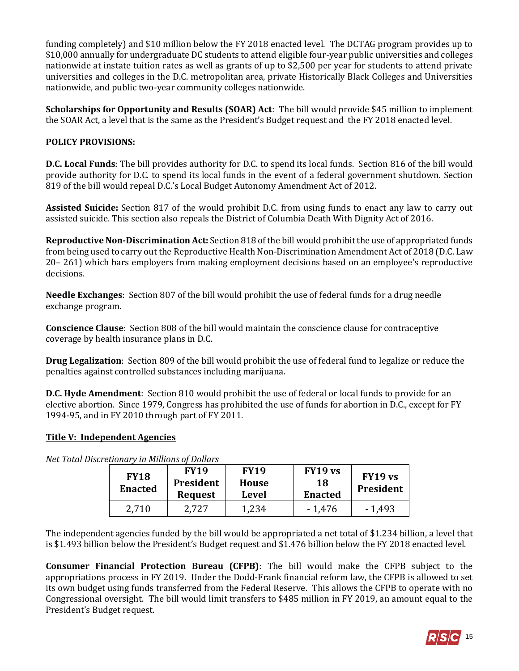funding completely) and \$10 million below the FY 2018 enacted level. The DCTAG program provides up to \$10,000 annually for undergraduate DC students to attend eligible four-year public universities and colleges nationwide at instate tuition rates as well as grants of up to \$2,500 per year for students to attend private universities and colleges in the D.C. metropolitan area, private Historically Black Colleges and Universities nationwide, and public two-year community colleges nationwide.

**Scholarships for Opportunity and Results (SOAR) Act**: The bill would provide \$45 million to implement the SOAR Act, a level that is the same as the President's Budget request and the FY 2018 enacted level.

# **POLICY PROVISIONS:**

**D.C. Local Funds**: The bill provides authority for D.C. to spend its local funds. Section 816 of the bill would provide authority for D.C. to spend its local funds in the event of a federal government shutdown. Section 819 of the bill would repeal D.C.'s Local Budget Autonomy Amendment Act of 2012.

**Assisted Suicide:** Section 817 of the would prohibit D.C. from using funds to enact any law to carry out assisted suicide. This section also repeals the District of Columbia Death With Dignity Act of 2016.

**Reproductive Non-Discrimination Act:** Section 818 of the bill would prohibit the use of appropriated funds from being used to carry out the Reproductive Health Non-Discrimination Amendment Act of 2018 (D.C. Law 20– 261) which bars employers from making employment decisions based on an employee's reproductive decisions.

**Needle Exchanges**: Section 807 of the bill would prohibit the use of federal funds for a drug needle exchange program.

**Conscience Clause**: Section 808 of the bill would maintain the conscience clause for contraceptive coverage by health insurance plans in D.C.

**Drug Legalization**: Section 809 of the bill would prohibit the use of federal fund to legalize or reduce the penalties against controlled substances including marijuana.

**D.C. Hyde Amendment**: Section 810 would prohibit the use of federal or local funds to provide for an elective abortion. Since 1979, Congress has prohibited the use of funds for abortion in D.C., except for FY 1994-95, and in FY 2010 through part of FY 2011.

# **Title V: Independent Agencies**

*Net Total Discretionary in Millions of Dollars*

| <b>FY18</b><br><b>Enacted</b> | <b>FY19</b><br>President<br><b>Request</b> | <b>FY19</b><br><b>House</b><br>Level | FY19 vs<br>18<br><b>Enacted</b> | FY19 vs<br><b>President</b> |
|-------------------------------|--------------------------------------------|--------------------------------------|---------------------------------|-----------------------------|
| 2,710                         | 2,727                                      | 1,234                                | $-1,476$                        | $-1,493$                    |

The independent agencies funded by the bill would be appropriated a net total of \$1.234 billion, a level that is \$1.493 billion below the President's Budget request and \$1.476 billion below the FY 2018 enacted level.

**Consumer Financial Protection Bureau (CFPB)**: The bill would make the CFPB subject to the appropriations process in FY 2019. Under the Dodd-Frank financial reform law, the CFPB is allowed to set its own budget using funds transferred from the Federal Reserve. This allows the CFPB to operate with no Congressional oversight. The bill would limit transfers to \$485 million in FY 2019, an amount equal to the President's Budget request.

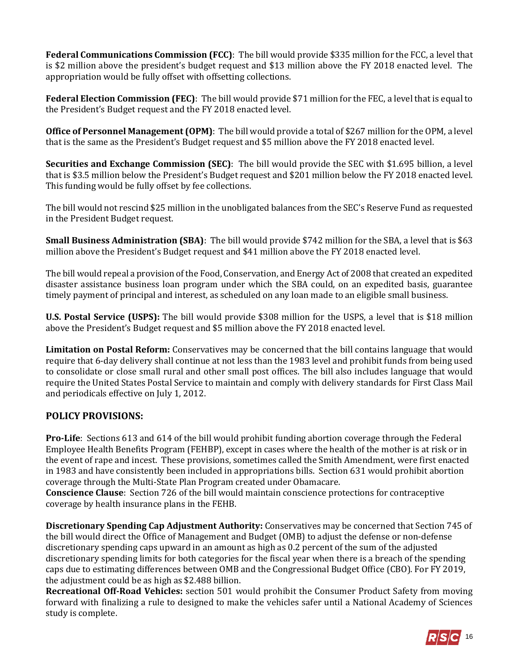**Federal Communications Commission (FCC)**: The bill would provide \$335 million for the FCC, a level that is \$2 million above the president's budget request and \$13 million above the FY 2018 enacted level. The appropriation would be fully offset with offsetting collections.

**Federal Election Commission (FEC)**: The bill would provide \$71 million for the FEC, a level that is equal to the President's Budget request and the FY 2018 enacted level.

**Office of Personnel Management (OPM)**: The bill would provide a total of \$267 million for the OPM, a level that is the same as the President's Budget request and \$5 million above the FY 2018 enacted level.

**Securities and Exchange Commission (SEC)**: The bill would provide the SEC with \$1.695 billion, a level that is \$3.5 million below the President's Budget request and \$201 million below the FY 2018 enacted level. This funding would be fully offset by fee collections.

The bill would not rescind \$25 million in the unobligated balances from the SEC's Reserve Fund as requested in the President Budget request.

**Small Business Administration (SBA)**: The bill would provide \$742 million for the SBA, a level that is \$63 million above the President's Budget request and \$41 million above the FY 2018 enacted level.

The bill would repeal a provision of the Food, Conservation, and Energy Act of 2008 that created an expedited disaster assistance business loan program under which the SBA could, on an expedited basis, guarantee timely payment of principal and interest, as scheduled on any loan made to an eligible small business.

**U.S. Postal Service (USPS):** The bill would provide \$308 million for the USPS, a level that is \$18 million above the President's Budget request and \$5 million above the FY 2018 enacted level.

**Limitation on Postal Reform:** Conservatives may be concerned that the bill contains language that would require that 6-day delivery shall continue at not less than the 1983 level and prohibit funds from being used to consolidate or close small rural and other small post offices. The bill also includes language that would require the United States Postal Service to maintain and comply with delivery standards for First Class Mail and periodicals effective on July 1, 2012.

# **POLICY PROVISIONS:**

**Pro-Life**: Sections 613 and 614 of the bill would prohibit funding abortion coverage through the Federal Employee Health Benefits Program (FEHBP), except in cases where the health of the mother is at risk or in the event of rape and incest. These provisions, sometimes called the Smith Amendment, were first enacted in 1983 and have consistently been included in appropriations bills. Section 631 would prohibit abortion coverage through the Multi-State Plan Program created under Obamacare.

**Conscience Clause**: Section 726 of the bill would maintain conscience protections for contraceptive coverage by health insurance plans in the FEHB.

**Discretionary Spending Cap Adjustment Authority:** Conservatives may be concerned that Section 745 of the bill would direct the Office of Management and Budget (OMB) to adjust the defense or non-defense discretionary spending caps upward in an amount as high as 0.2 percent of the sum of the adjusted discretionary spending limits for both categories for the fiscal year when there is a breach of the spending caps due to estimating differences between OMB and the Congressional Budget Office (CBO). For FY 2019, the adjustment could be as high as \$2.488 billion.

**Recreational Off-Road Vehicles:** section 501 would prohibit the Consumer Product Safety from moving forward with finalizing a rule to designed to make the vehicles safer until a National Academy of Sciences study is complete.

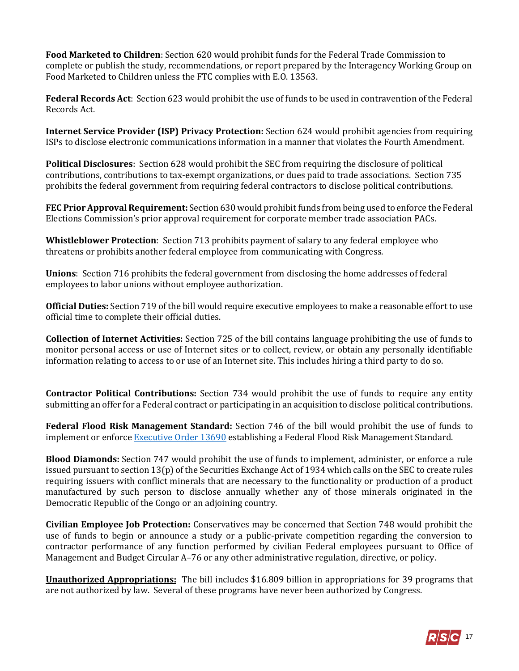**Food Marketed to Children**: Section 620 would prohibit funds for the Federal Trade Commission to complete or publish the study, recommendations, or report prepared by the Interagency Working Group on Food Marketed to Children unless the FTC complies with E.O. 13563.

**Federal Records Act**: Section 623 would prohibit the use of funds to be used in contravention of the Federal Records Act.

**Internet Service Provider (ISP) Privacy Protection:** Section 624 would prohibit agencies from requiring ISPs to disclose electronic communications information in a manner that violates the Fourth Amendment.

**Political Disclosures**: Section 628 would prohibit the SEC from requiring the disclosure of political contributions, contributions to tax-exempt organizations, or dues paid to trade associations. Section 735 prohibits the federal government from requiring federal contractors to disclose political contributions.

**FEC Prior Approval Requirement:** Section 630 would prohibit funds from being used to enforce the Federal Elections Commission's prior approval requirement for corporate member trade association PACs.

**Whistleblower Protection**: Section 713 prohibits payment of salary to any federal employee who threatens or prohibits another federal employee from communicating with Congress.

**Unions**: Section 716 prohibits the federal government from disclosing the home addresses of federal employees to labor unions without employee authorization.

**Official Duties:** Section 719 of the bill would require executive employees to make a reasonable effort to use official time to complete their official duties.

**Collection of Internet Activities:** Section 725 of the bill contains language prohibiting the use of funds to monitor personal access or use of Internet sites or to collect, review, or obtain any personally identifiable information relating to access to or use of an Internet site. This includes hiring a third party to do so.

**Contractor Political Contributions:** Section 734 would prohibit the use of funds to require any entity submitting an offer for a Federal contract or participating in an acquisition to disclose political contributions.

**Federal Flood Risk Management Standard:** Section 746 of the bill would prohibit the use of funds to implement or enforce [Executive Order 13690](https://obamawhitehouse.archives.gov/the-press-office/2015/01/30/executive-order-establishing-federal-flood-risk-management-standard-and-) establishing a Federal Flood Risk Management Standard.

**Blood Diamonds:** Section 747 would prohibit the use of funds to implement, administer, or enforce a rule issued pursuant to section 13(p) of the Securities Exchange Act of 1934 which calls on the SEC to create rules requiring issuers with conflict minerals that are necessary to the functionality or production of a product manufactured by such person to disclose annually whether any of those minerals originated in the Democratic Republic of the Congo or an adjoining country.

**Civilian Employee Job Protection:** Conservatives may be concerned that Section 748 would prohibit the use of funds to begin or announce a study or a public-private competition regarding the conversion to contractor performance of any function performed by civilian Federal employees pursuant to Office of Management and Budget Circular A–76 or any other administrative regulation, directive, or policy.

**Unauthorized Appropriations:** The bill includes \$16.809 billion in appropriations for 39 programs that are not authorized by law. Several of these programs have never been authorized by Congress.

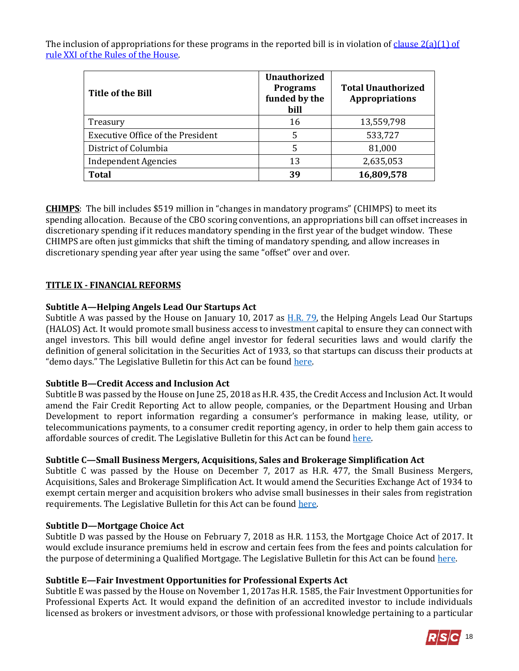The inclusion of appropriations for these programs in the reported bill is in violation of [clause 2\(a\)\(1\) of](https://rules.house.gov/sites/republicans.rules.house.gov/files/114/PDF/House-Rules-114.pdf#page=38)  [rule XXI of the Rules of the House.](https://rules.house.gov/sites/republicans.rules.house.gov/files/114/PDF/House-Rules-114.pdf#page=38) 

| Title of the Bill                        | <b>Unauthorized</b><br><b>Programs</b><br>funded by the<br>bill | <b>Total Unauthorized</b><br><b>Appropriations</b> |
|------------------------------------------|-----------------------------------------------------------------|----------------------------------------------------|
| Treasury                                 | 16                                                              | 13,559,798                                         |
| <b>Executive Office of the President</b> | 5                                                               | 533,727                                            |
| District of Columbia                     | 5                                                               | 81,000                                             |
| <b>Independent Agencies</b>              | 13                                                              | 2,635,053                                          |
| <b>Total</b>                             | 39                                                              | 16,809,578                                         |

**CHIMPS**: The bill includes \$519 million in "changes in mandatory programs" (CHIMPS) to meet its spending allocation. Because of the CBO scoring conventions, an appropriations bill can offset increases in discretionary spending if it reduces mandatory spending in the first year of the budget window. These CHIMPS are often just gimmicks that shift the timing of mandatory spending, and allow increases in discretionary spending year after year using the same "offset" over and over.

# **TITLE IX - FINANCIAL REFORMS**

# **Subtitle A—Helping Angels Lead Our Startups Act**

Subtitle A was passed by the House on January 10, 2017 as [H.R. 79,](https://gallery.mailchimp.com/d4254037a343b683d142111e0/files/Legislative_Bulletin_HR79_JW_BGS.pdf) the Helping Angels Lead Our Startups (HALOS) Act. It would promote small business access to investment capital to ensure they can connect with angel investors. This bill would define angel investor for federal securities laws and would clarify the definition of general solicitation in the Securities Act of 1933, so that startups can discuss their products at "demo days." The Legislative Bulletin for this Act can be found [here.](https://gallery.mailchimp.com/d4254037a343b683d142111e0/files/Legislative_Bulletin_HR79_JW_BGS.pdf)

# **Subtitle B—Credit Access and Inclusion Act**

Subtitle B was passed by the House on June 25, 2018 as H.R. 435, the Credit Access and Inclusion Act. It would amend the Fair Credit Reporting Act to allow people, companies, or the Department Housing and Urban Development to report information regarding a consumer's performance in making lease, utility, or telecommunications payments, to a consumer credit reporting agency, in order to help them gain access to affordable sources of credit. The Legislative Bulletin for this Act can be foun[d here.](https://gallery.mailchimp.com/d4254037a343b683d142111e0/files/2ecd28b7-c7a6-4b02-974d-e73f1a21d2ab/Legislative_Bulletin_Suspensions_June_25_2018.pdf)

# **Subtitle C—Small Business Mergers, Acquisitions, Sales and Brokerage Simplification Act**

Subtitle C was passed by the House on December 7, 2017 as H.R. 477, the Small Business Mergers, Acquisitions, Sales and Brokerage Simplification Act. It would amend the Securities Exchange Act of 1934 to exempt certain merger and acquisition brokers who advise small businesses in their sales from registration requirements. The Legislative Bulletin for this Act can be found [here.](https://gallery.mailchimp.com/d4254037a343b683d142111e0/files/57ee3ba8-6999-433d-b80a-081ac8fb8d9f/RSC_Legislative_Bulletin_HR_477_MD.pdf)

# **Subtitle D—Mortgage Choice Act**

Subtitle D was passed by the House on February 7, 2018 as H.R. 1153, the Mortgage Choice Act of 2017. It would exclude insurance premiums held in escrow and certain fees from the fees and points calculation for the purpose of determining a Qualified Mortgage. The Legislative Bulletin for this Act can be found [here.](https://gallery.mailchimp.com/d4254037a343b683d142111e0/files/20f34672-a0d2-47b5-a957-90d22948c9da/RSC_Legislative_Bulletin_HR_1153_Mortgage_Choice_Act_February_7_2018.pdf)

# **Subtitle E—Fair Investment Opportunities for Professional Experts Act**

Subtitle E was passed by the House on November 1, 2017as H.R. 1585, the Fair Investment Opportunities for Professional Experts Act. It would expand the definition of an accredited investor to include individuals licensed as brokers or investment advisors, or those with professional knowledge pertaining to a particular

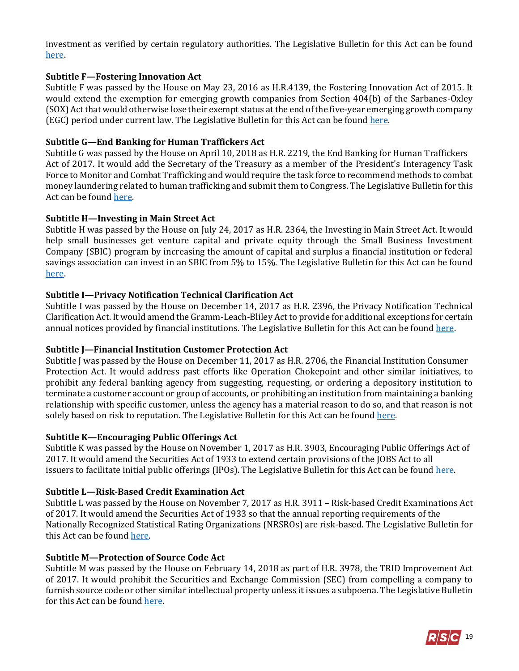investment as verified by certain regulatory authorities. The Legislative Bulletin for this Act can be found [here.](https://gallery.mailchimp.com/d4254037a343b683d142111e0/files/1e2f89ff-4f8f-4509-ae29-664d72756298/Legislative_Bulletin_Suspensions__November_1_2017.pdf)

# **Subtitle F—Fostering Innovation Act**

Subtitle F was passed by the House on May 23, 2016 as H.R.4139, the Fostering Innovation Act of 2015. It would extend the exemption for emerging growth companies from Section 404(b) of the Sarbanes-Oxley (SOX) Act that would otherwise lose their exempt status at the end of the five-year emerging growth company (EGC) period under current law. The Legislative Bulletin for this Act can be foun[d here.](https://rsc-walker.house.gov/sites/republicanstudycommittee.house.gov/files/2016LB/Legislative_Bulletin_Suspensions_May_23_2016_2_.01.pdf)

#### **Subtitle G—End Banking for Human Traffickers Act**

Subtitle G was passed by the House on April 10, 2018 as H.R. 2219, the End Banking for Human Traffickers Act of 2017. It would add the Secretary of the Treasury as a member of the President's Interagency Task Force to Monitor and Combat Trafficking and would require the task force to recommend methods to combat money laundering related to human trafficking and submit them to Congress. The Legislative Bulletin for this Act can be foun[d here.](https://gallery.mailchimp.com/d4254037a343b683d142111e0/files/d1dce538-b9cf-4fad-a68b-8aec3d3d7771/Legislative_Bulletin_Suspensions_April_10_2018.pdf)

#### **Subtitle H—Investing in Main Street Act**

Subtitle H was passed by the House on July 24, 2017 as H.R. 2364, the Investing in Main Street Act. It would help small businesses get venture capital and private equity through the Small Business Investment Company (SBIC) program by increasing the amount of capital and surplus a financial institution or federal savings association can invest in an SBIC from 5% to 15%. The Legislative Bulletin for this Act can be found [here.](https://rsc-walker.house.gov/sites/republicanstudycommittee.house.gov/files/2017LB/RSC_Legislative_Bulletin_Suspensions_7.24.2017.pdf)

#### **Subtitle I—Privacy Notification Technical Clarification Act**

Subtitle I was passed by the House on December 14, 2017 as H.R. 2396, the Privacy Notification Technical Clarification Act. It would amend the Gramm-Leach-Bliley Act to provide for additional exceptions for certain annual notices provided by financial institutions. The Legislative Bulletin for this Act can be foun[d here.](https://gallery.mailchimp.com/d4254037a343b683d142111e0/files/209b987d-80d4-4d79-aa91-01184a346e40/RSC_Legislative_Bulletin_HR_2396.pdf)

# **Subtitle J—Financial Institution Customer Protection Act**

Subtitle J was passed by the House on December 11, 2017 as H.R. 2706, the Financial Institution Consumer Protection Act. It would address past efforts like Operation Chokepoint and other similar initiatives, to prohibit any federal banking agency from suggesting, requesting, or ordering a depository institution to terminate a customer account or group of accounts, or prohibiting an institution from maintaining a banking relationship with specific customer, unless the agency has a material reason to do so, and that reason is not solely based on risk to reputation. The Legislative Bulletin for this Act can be foun[d here.](https://gallery.mailchimp.com/d4254037a343b683d142111e0/files/b9c9a920-5244-4064-ac4d-daae04167df8/Legislative_Bulletin_Suspensions_December_11_2017.pdf)

#### **Subtitle K—Encouraging Public Offerings Act**

Subtitle K was passed by the House on November 1, 2017 as H.R. 3903, Encouraging Public Offerings Act of 2017. It would amend the Securities Act of 1933 to extend certain provisions of the JOBS Act to all issuers to facilitate initial public offerings (IPOs). The Legislative Bulletin for this Act can be found [here.](https://gallery.mailchimp.com/d4254037a343b683d142111e0/files/1e2f89ff-4f8f-4509-ae29-664d72756298/Legislative_Bulletin_Suspensions__November_1_2017.pdf)

# **Subtitle L—Risk-Based Credit Examination Act**

Subtitle L was passed by the House on November 7, 2017 as H.R. 3911 – Risk-based Credit Examinations Act of 2017. It would amend the Securities Act of 1933 so that the annual reporting requirements of the Nationally Recognized Statistical Rating Organizations (NRSROs) are risk-based. The Legislative Bulletin for this Act can be foun[d here.](https://gallery.mailchimp.com/d4254037a343b683d142111e0/files/352eac85-79c0-4292-bdd2-52394a78c512/Legislative_Bulletin_Suspensions_November_7_2017_Veterans_Affairs_MD.pdf)

#### **Subtitle M—Protection of Source Code Act**

Subtitle M was passed by the House on February 14, 2018 as part of H.R. 3978, the TRID Improvement Act of 2017. It would prohibit the Securities and Exchange Commission (SEC) from compelling a company to furnish source code or other similar intellectual property unless it issues a subpoena. The Legislative Bulletin for this Act can be foun[d here.](https://gallery.mailchimp.com/d4254037a343b683d142111e0/files/07ed011c-5b34-4635-af8e-bfe1179980aa/RSC_Legislative_Bulletin_HR_3978_TRID_Improvement_Act_February_14_2018.pdf)

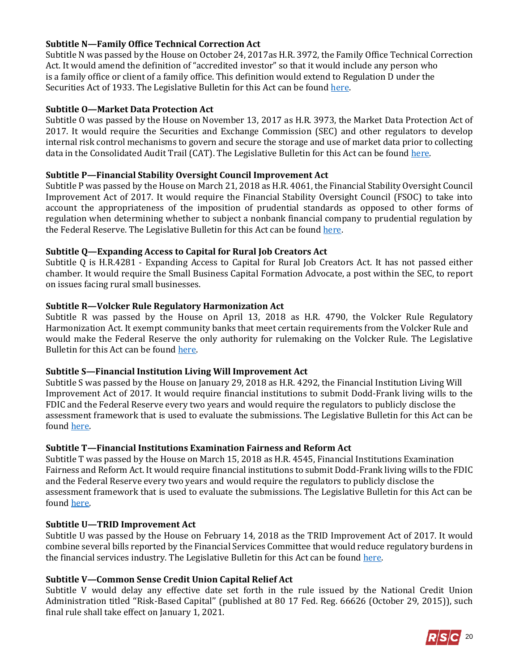# **Subtitle N—Family Office Technical Correction Act**

Subtitle N was passed by the House on October 24, 2017as H.R. 3972, the Family Office Technical Correction Act. It would amend the definition of "accredited investor" so that it would include any person who is a family office or client of a family office. This definition would extend to Regulation D under the Securities Act of 1933. The Legislative Bulletin for this Act can be foun[d here.](https://gallery.mailchimp.com/d4254037a343b683d142111e0/files/465120a0-4d57-4fd0-a3ca-54a3f8838eb8/Legislative_Bulletin_Suspensions_October_24_2017.pdf)

# **Subtitle O—Market Data Protection Act**

Subtitle O was passed by the House on November 13, 2017 as H.R. 3973, the Market Data Protection Act of 2017. It would require the Securities and Exchange Commission (SEC) and other regulators to develop internal risk control mechanisms to govern and secure the storage and use of market data prior to collecting data in the Consolidated Audit Trail (CAT). The Legislative Bulletin for this Act can be found [here.](https://gallery.mailchimp.com/d4254037a343b683d142111e0/files/4076b9c6-8755-4758-a797-0d4b03d7c767/Legislative_Bulletin_Suspensions__Week_of_November_13_2017.pdf)

# **Subtitle P—Financial Stability Oversight Council Improvement Act**

Subtitle P was passed by the House on March 21, 2018 as H.R. 4061, the Financial Stability Oversight Council Improvement Act of 2017. It would require the Financial Stability Oversight Council (FSOC) to take into account the appropriateness of the imposition of prudential standards as opposed to other forms of regulation when determining whether to subject a nonbank financial company to prudential regulation by the Federal Reserve. The Legislative Bulletin for this Act can be foun[d here.](https://gallery.mailchimp.com/d4254037a343b683d142111e0/files/6b5dfc98-9c7c-42b9-9069-8981f2b400fa/RSC_Legislative_Bulletin_HR_4061_Financial_Stability_Oversight_Council_Improvement_Act_March_21_2018.pdf)

# **Subtitle Q—Expanding Access to Capital for Rural Job Creators Act**

Subtitle Q is H.R.4281 - Expanding Access to Capital for Rural Job Creators Act. It has not passed either chamber. It would require the Small Business Capital Formation Advocate, a post within the SEC, to report on issues facing rural small businesses.

# **Subtitle R—Volcker Rule Regulatory Harmonization Act**

Subtitle R was passed by the House on April 13, 2018 as H.R. 4790, the Volcker Rule Regulatory Harmonization Act. It exempt community banks that meet certain requirements from the Volcker Rule and would make the Federal Reserve the only authority for rulemaking on the Volcker Rule. The Legislative Bulletin for this Act can be found [here.](https://gallery.mailchimp.com/d4254037a343b683d142111e0/files/1cb6713a-62dd-4863-bfab-706d21a224a9/RSC_Legislative_Bulletin_HR_4790_Volcker_Rule_April_13_2018.pdf)

# **Subtitle S—Financial Institution Living Will Improvement Act**

Subtitle S was passed by the House on January 29, 2018 as H.R. 4292, the Financial Institution Living Will Improvement Act of 2017. It would require financial institutions to submit Dodd-Frank living wills to the FDIC and the Federal Reserve every two years and would require the regulators to publicly disclose the assessment framework that is used to evaluate the submissions. The Legislative Bulletin for this Act can be found [here.](https://gallery.mailchimp.com/d4254037a343b683d142111e0/files/ebb17b79-c571-4839-916f-091a1e79b9ea/Jan_29_2018_Suspension_LBs.pdf)

# **Subtitle T—Financial Institutions Examination Fairness and Reform Act**

Subtitle T was passed by the House on March 15, 2018 as H.R. 4545, Financial Institutions Examination Fairness and Reform Act. It would require financial institutions to submit Dodd-Frank living wills to the FDIC and the Federal Reserve every two years and would require the regulators to publicly disclose the assessment framework that is used to evaluate the submissions. The Legislative Bulletin for this Act can be found [here.](https://gallery.mailchimp.com/d4254037a343b683d142111e0/files/ebb17b79-c571-4839-916f-091a1e79b9ea/Jan_29_2018_Suspension_LBs.pdf)

# **Subtitle U—TRID Improvement Act**

Subtitle U was passed by the House on February 14, 2018 as the TRID Improvement Act of 2017. It would combine several bills reported by the Financial Services Committee that would reduce regulatory burdens in the financial services industry. The Legislative Bulletin for this Act can be found [here.](https://gallery.mailchimp.com/d4254037a343b683d142111e0/files/07ed011c-5b34-4635-af8e-bfe1179980aa/RSC_Legislative_Bulletin_HR_3978_TRID_Improvement_Act_February_14_2018.pdf)

# **Subtitle V—Common Sense Credit Union Capital Relief Act**

Subtitle V would delay any effective date set forth in the rule issued by the National Credit Union Administration titled ''Risk-Based Capital'' (published at 80 17 Fed. Reg. 66626 (October 29, 2015)), such final rule shall take effect on January 1, 2021.

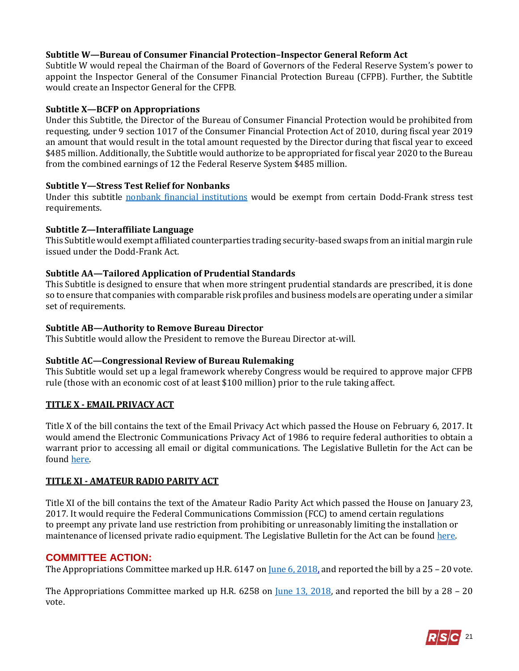# **Subtitle W—Bureau of Consumer Financial Protection–Inspector General Reform Act**

Subtitle W would repeal the Chairman of the Board of Governors of the Federal Reserve System's power to appoint the Inspector General of the Consumer Financial Protection Bureau (CFPB). Further, the Subtitle would create an Inspector General for the CFPB.

## **Subtitle X—BCFP on Appropriations**

Under this Subtitle, the Director of the Bureau of Consumer Financial Protection would be prohibited from requesting, under 9 section 1017 of the Consumer Financial Protection Act of 2010, during fiscal year 2019 an amount that would result in the total amount requested by the Director during that fiscal year to exceed \$485 million. Additionally, the Subtitle would authorize to be appropriated for fiscal year 2020 to the Bureau from the combined earnings of 12 the Federal Reserve System \$485 million.

#### **Subtitle Y—Stress Test Relief for Nonbanks**

Under this subtitle [nonbank financial institutions](https://www.ffiec.gov/bsa_aml_infobase/pages_manual/olm_091.htm) would be exempt from certain Dodd-Frank stress test requirements.

#### **Subtitle Z—Interaffiliate Language**

This Subtitle would exempt affiliated counterparties trading security-based swaps from an initial margin rule issued under the Dodd-Frank Act.

# **Subtitle AA—Tailored Application of Prudential Standards**

This Subtitle is designed to ensure that when more stringent prudential standards are prescribed, it is done so to ensure that companies with comparable risk profiles and business models are operating under a similar set of requirements.

#### **Subtitle AB—Authority to Remove Bureau Director**

This Subtitle would allow the President to remove the Bureau Director at-will.

# **Subtitle AC—Congressional Review of Bureau Rulemaking**

This Subtitle would set up a legal framework whereby Congress would be required to approve major CFPB rule (those with an economic cost of at least \$100 million) prior to the rule taking affect.

#### **TITLE X - EMAIL PRIVACY ACT**

Title X of the bill contains the text of the Email Privacy Act which passed the House on February 6, 2017. It would amend the Electronic Communications Privacy Act of 1986 to require federal authorities to obtain a warrant prior to accessing all email or digital communications. The Legislative Bulletin for the Act can be found [here.](https://rsc-walker.house.gov/sites/republicanstudycommittee.house.gov/files/2017LB/Legislative_Bulletin_Suspensions__February_6_2017.pdf) 

#### **TITLE XI - AMATEUR RADIO PARITY ACT**

Title XI of the bill contains the text of the Amateur Radio Parity Act which passed the House on January 23, 2017. It would require the Federal Communications Commission (FCC) to amend certain regulations to preempt any private land use restriction from prohibiting or unreasonably limiting the installation or maintenance of licensed private radio equipment. The Legislative Bulletin for the Act can be found [here.](https://rsc-walker.house.gov/sites/republicanstudycommittee.house.gov/files/2017LB/Legislative_Bulletin_Suspensions_January_23_2017.01.pdf)

# **COMMITTEE ACTION:**

The Appropriations Committee marked up H.R. 6147 on <u>June 6, 2018</u>, and reported the bill by a 25 – 20 vote.

The Appropriations Committee marked up H.R. 6258 on <u>June 13, 2018</u>, and reported the bill by a 28 – 20 vote.